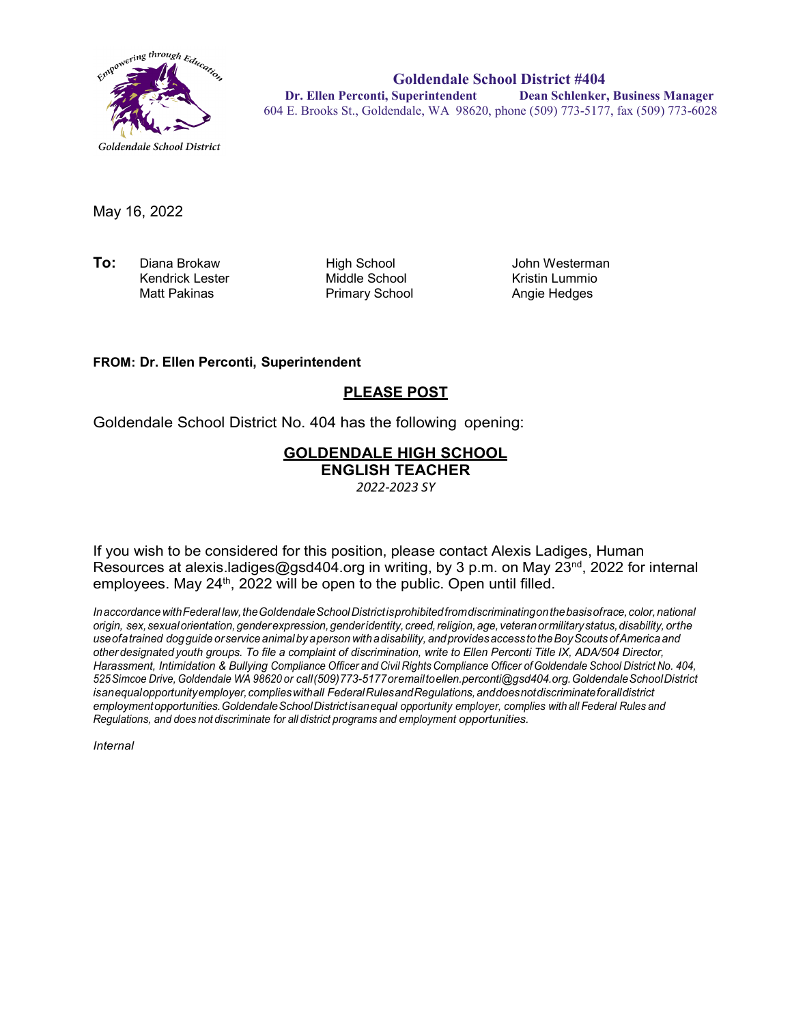

**Goldendale School District #404 Dr. Ellen Perconti, Superintendent Dean Schlenker, Business Manager** 604 E. Brooks St., Goldendale, WA 98620, phone (509) 773-5177, fax (509) 773-6028

May 16, 2022

**To:** Diana Brokaw High School John Westerman Kendrick Lester **Middle School**<br>Matt Pakinas **Middle School** Kristin Lummio

Primary School

## **FROM: Dr. Ellen Perconti, Superintendent**

## **PLEASE POST**

Goldendale School District No. 404 has the following opening:

## **GOLDENDALE HIGH SCHOOL ENGLISH TEACHER**

*2022-2023 SY*

If you wish to be considered for this position, please contact Alexis Ladiges, Human Resources at alexis.ladiges@gsd404.org in writing, by 3 p.m. on May 23<sup>nd</sup>, 2022 for internal employees. May 24<sup>th</sup>, 2022 will be open to the public. Open until filled.

*InaccordancewithFederal law,theGoldendaleSchoolDistrictisprohibitedfromdiscriminatingonthebasisofrace,color,national origin, sex,sexualorientation,genderexpression,genderidentity, creed,religion,age, veteranormilitarystatus,disability, orthe useofatrained dogguide orservice animal by aperson withadisability, andprovidesaccess totheBoyScouts ofAmerica and other designated youth groups. To file a complaint of discrimination, write to Ellen Perconti Title IX, ADA/504 Director, Harassment, Intimidation & Bullying Compliance Officer and Civil Rights Compliance Officer ofGoldendale School District No. 404, 525Simcoe Drive, Goldendale WA 98620 or call(509)773-5177oremailt[oellen.perconti@gsd404.org.G](mailto:ellen.perconti@gsd404.org)oldendaleSchoolDistrict isanequalopportunityemployer,complieswithall FederalRulesandRegulations,anddoesnotdiscriminateforalldistrict employmentopportunities.GoldendaleSchoolDistrictisanequal opportunity employer, complies with all Federal Rules and Regulations, and does not discriminate for all district programs and employment opportunities.*

*Internal*